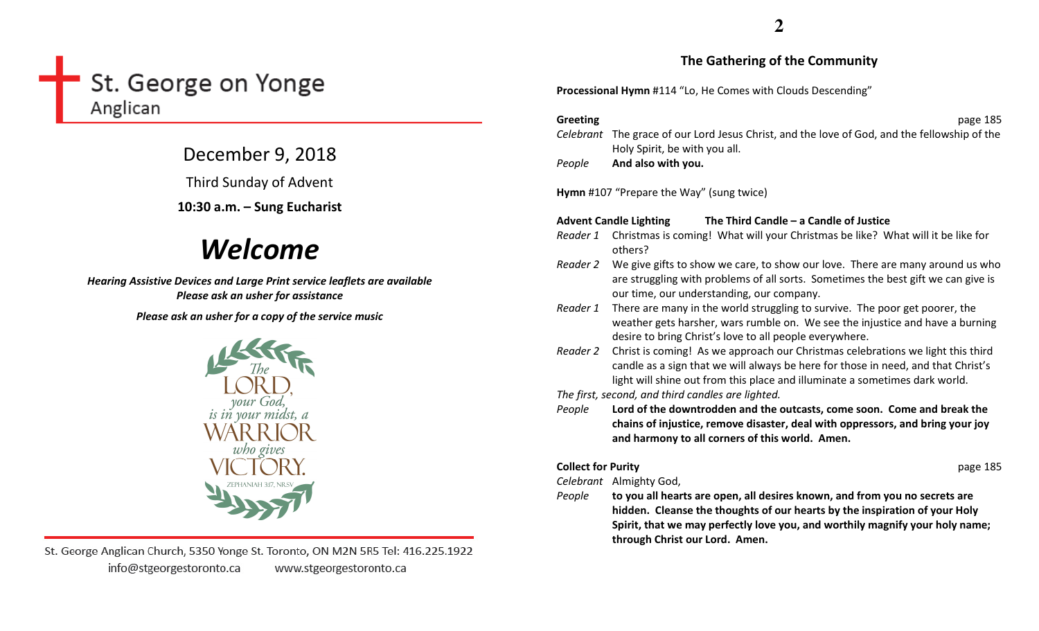## The Gathering of the Community

Processional Hymn #114 "Lo, He Comes with Clouds Descending"

#### Greeting

- $\boldsymbol{g}$  and  $\boldsymbol{g}$  are page 185 Celebrant The grace of our Lord Jesus Christ, and the love of God, and the fellowship of the Holy Spirit, be with you all.
- PeopleAnd also with you.

Hymn #107 "Prepare the Way" (sung twice)

#### Advent Candle Lighting The Third Candle – a Candle of Justice

- Reader 1 Christmas is coming! What will your Christmas be like? What will it be like for others?
- Reader 2 We give gifts to show we care, to show our love. There are many around us who are struggling with problems of all sorts. Sometimes the best gift we can give is our time, our understanding, our company.
- Reader 1 There are many in the world struggling to survive. The poor get poorer, the weather gets harsher, wars rumble on. We see the injustice and have a burning desire to bring Christ's love to all people everywhere.
- Reader 2 Christ is coming! As we approach our Christmas celebrations we light this third candle as a sign that we will always be here for those in need, and that Christ's light will shine out from this place and illuminate a sometimes dark world.

The first, second, and third candles are lighted.

People Lord of the downtrodden and the outcasts, come soon. Come and break the chains of injustice, remove disaster, deal with oppressors, and bring your joy and harmony to all corners of this world. Amen.

#### Collect for Purity $\gamma$  and  $\gamma$  and  $\gamma$  and  $\gamma$  and  $\gamma$  and  $\gamma$  and  $\gamma$  and  $\gamma$  and  $\gamma$  and  $\gamma$  and  $\gamma$  and  $\gamma$  and  $\gamma$  and  $\gamma$  and  $\gamma$  and  $\gamma$  and  $\gamma$  and  $\gamma$  and  $\gamma$  and  $\gamma$  and  $\gamma$  and  $\gamma$  and  $\gamma$  and  $\gamma$  and  $\gamma$

Celebrant Almighty God,

People to you all hearts are open, all desires known, and from you no secrets are hidden. Cleanse the thoughts of our hearts by the inspiration of your Holy Spirit, that we may perfectly love you, and worthily magnify your holy name; through Christ our Lord. Amen.

# St. George on Yonge Anglican

# December 9, 2018

Third Sunday of Advent

10:30 a.m. – Sung Eucharist

# Welcome

Hearing Assistive Devices and Large Print service leaflets are available Please ask an usher for assistance

Please ask an usher for a copy of the service music



St. George Anglican Church, 5350 Yonge St. Toronto, ON M2N 5R5 Tel: 416.225.1922 info@stgeorgestoronto.ca www.stgeorgestoronto.ca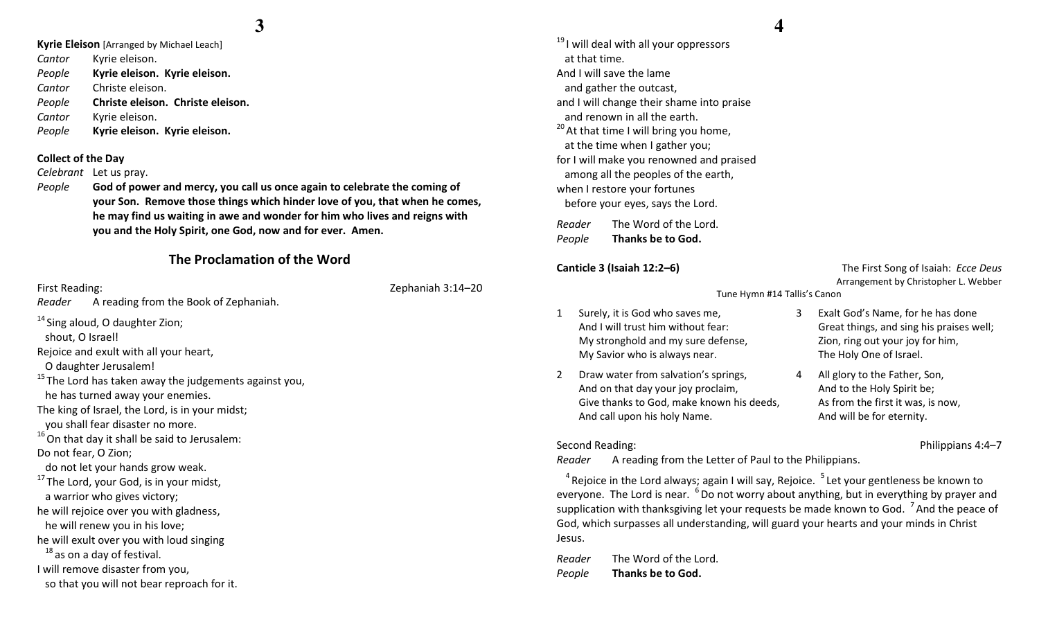**Kyrie Eleison** [Arranged by Michael Leach] Cantor Kyrie eleison. People Kyrie eleison. Kyrie eleison. Cantor Christe eleison. People Christe eleison. Christe eleison. Cantor Kyrie eleison. PeopleKyrie eleison. Kyrie eleison.

#### Collect of the Day

Celebrant Let us pray.

People God of power and mercy, you call us once again to celebrate the coming of your Son. Remove those things which hinder love of you, that when he comes, he may find us waiting in awe and wonder for him who lives and reigns with you and the Holy Spirit, one God, now and for ever. Amen.

## The Proclamation of the Word

First Reading: Zephaniah 3:14–20

Reader A reading from the Book of Zephaniah.

 $14$  Sing aloud, O daughter Zion;

shout, O Israel!

Rejoice and exult with all your heart,

O daughter Jerusalem!

 $^{15}$ The Lord has taken away the judgements against you,

he has turned away your enemies.

The king of Israel, the Lord, is in your midst;

you shall fear disaster no more.

 $^{16}$ On that day it shall be said to Jerusalem: Do not fear, O Zion;

do not let your hands grow weak.

 $^{17}$ The Lord, your God, is in your midst,

a warrior who gives victory;

he will rejoice over you with gladness,

he will renew you in his love;

he will exult over you with loud singing

 $18$  as on a day of festival.

I will remove disaster from you,

so that you will not bear reproach for it.

**4**

 $19$  I will deal with all your oppressors at that time. And I will save the lame and gather the outcast, and I will change their shame into praise and renown in all the earth.  $^{20}$  At that time I will bring you home, at the time when I gather you; for I will make you renowned and praised among all the peoples of the earth, when I restore your fortunes before your eyes, says the Lord. Reader The Word of the Lord.

PeopleThanks be to God.

#### Canticle 3 (Isaiah 12:2–6)

 The First Song of Isaiah: Ecce DeusArrangement by Christopher L. Webber

Tune Hymn #14 Tallis's Canon

- 1 Surely, it is God who saves me, And I will trust him without fear: My stronghold and my sure defense, My Savior who is always near.
- 2 Draw water from salvation's springs, And on that day your joy proclaim, Give thanks to God, make known his deeds, And call upon his holy Name.

#### 3 Exalt God's Name, for he has done Great things, and sing his praises well; Zion, ring out your joy for him, The Holy One of Israel.

4 All glory to the Father, Son, And to the Holy Spirit be; As from the first it was, is now, And will be for eternity.

Reader A reading from the Letter of Paul to the Philippians.

 $4$  Rejoice in the Lord always; again I will say, Rejoice.  $5$  Let your gentleness be known to everyone. The Lord is near. <sup>6</sup>Do not worry about anything, but in everything by prayer and supplication with thanksgiving let your requests be made known to God.  $\mathrm{^{7}}$  And the peace of God, which surpasses all understanding, will guard your hearts and your minds in Christ Jesus.

Reader The Word of the Lord. PeopleThanks be to God.

Second Reading: Philippians 4:4–7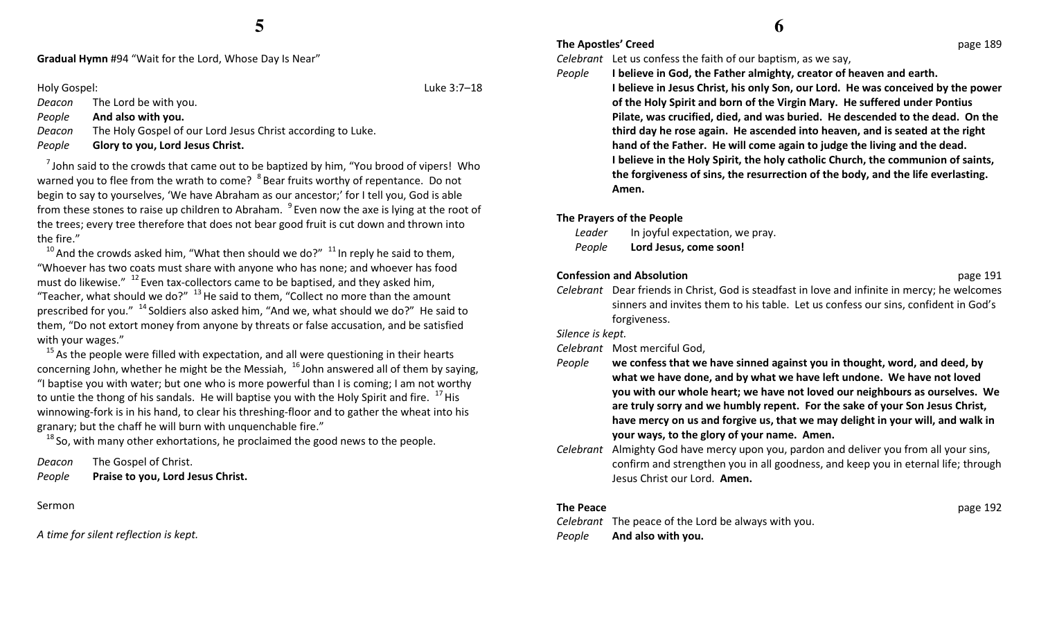Gradual Hymn #94 "Wait for the Lord, Whose Day Is Near"

Holy Gospel: Luke 3:7–18

Deacon The Lord be with you.

PeopleAnd also with you.

Deacon The Holy Gospel of our Lord Jesus Christ according to Luke.

PeopleGlory to you, Lord Jesus Christ.

 $<sup>7</sup>$  John said to the crowds that came out to be baptized by him, "You brood of vipers! Who</sup> warned you to flee from the wrath to come?  $8$  Bear fruits worthy of repentance. Do not begin to say to yourselves, 'We have Abraham as our ancestor;' for I tell you, God is able from these stones to raise up children to Abraham.  $^9$  Even now the axe is lying at the root of the trees; every tree therefore that does not bear good fruit is cut down and thrown into the fire."

 $^{10}$  And the crowds asked him, "What then should we do?"  $^{11}$  In reply he said to them, "Whoever has two coats must share with anyone who has none; and whoever has food must do likewise."  $12$  Even tax-collectors came to be baptised, and they asked him, "Teacher, what should we do?"  $13$  He said to them, "Collect no more than the amount prescribed for you."  $14$  Soldiers also asked him, "And we, what should we do?" He said to them, "Do not extort money from anyone by threats or false accusation, and be satisfied with your wages."

 $15$ As the people were filled with expectation, and all were questioning in their hearts concerning John, whether he might be the Messiah,  $^{16}$  John answered all of them by saying, "I baptise you with water; but one who is more powerful than I is coming; I am not worthy to untie the thong of his sandals. He will baptise you with the Holy Spirit and fire.  $17$  His winnowing-fork is in his hand, to clear his threshing-floor and to gather the wheat into his granary; but the chaff he will burn with unquenchable fire."

 $^{18}$  So, with many other exhortations, he proclaimed the good news to the people.

Deacon The Gospel of Christ. PeoplePraise to you, Lord Jesus Christ.

Sermon

A time for silent reflection is kept.

# **6**

The Apostles' Creedd by a page 189 Celebrant Let us confess the faith of our baptism, as we say,

People I believe in God, the Father almighty, creator of heaven and earth. I believe in Jesus Christ, his only Son, our Lord. He was conceived by the power of the Holy Spirit and born of the Virgin Mary. He suffered under Pontius Pilate, was crucified, died, and was buried. He descended to the dead. On the third day he rose again. He ascended into heaven, and is seated at the right hand of the Father. He will come again to judge the living and the dead. I believe in the Holy Spirit, the holy catholic Church, the communion of saints, the forgiveness of sins, the resurrection of the body, and the life everlasting. Amen.

### The Prayers of the People

Leader In joyful expectation, we pray. PeopleLord Jesus, come soon!

#### Confession and Absolution

 page 191 Celebrant Dear friends in Christ, God is steadfast in love and infinite in mercy; he welcomes sinners and invites them to his table. Let us confess our sins, confident in God's forgiveness.

Silence is kept.

#### Celebrant Most merciful God,

- People we confess that we have sinned against you in thought, word, and deed, by what we have done, and by what we have left undone. We have not loved you with our whole heart; we have not loved our neighbours as ourselves. We are truly sorry and we humbly repent. For the sake of your Son Jesus Christ, have mercy on us and forgive us, that we may delight in your will, and walk in your ways, to the glory of your name. Amen.
- Celebrant Almighty God have mercy upon you, pardon and deliver you from all your sins, confirm and strengthen you in all goodness, and keep you in eternal life; through Jesus Christ our Lord. Amen.

#### The Peace

e behavior of the contract of the contract of the contract of the contract of the contract of the contract of the contract of the contract of the contract of the contract of the contract of the contract of the contract of Celebrant The peace of the Lord be always with you. PeopleAnd also with you.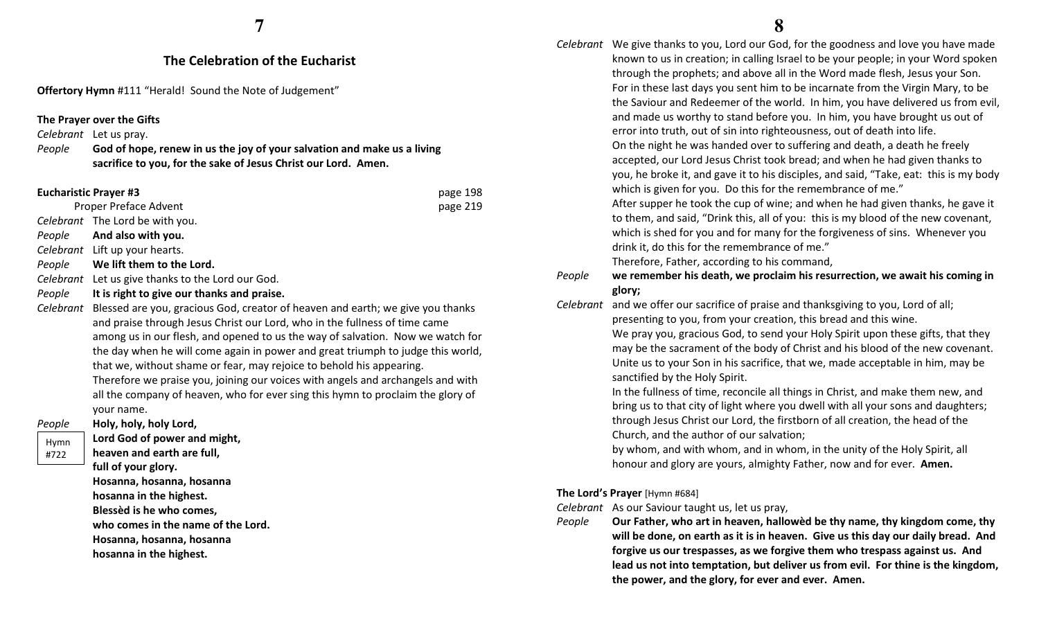#### The Celebration of the Eucharist

Offertory Hymn #111 "Herald! Sound the Note of Judgement"

#### The Prayer over the Gifts

Celebrant Let us pray.

People God of hope, renew in us the joy of your salvation and make us a living sacrifice to you, for the sake of Jesus Christ our Lord. Amen.

Eucharistic Prayer #3 $\overline{3}$  page 198 Proper Preface Advent page 219 Celebrant The Lord be with you. People And also with you. Celebrant Lift up your hearts. People We lift them to the Lord. Celebrant Let us give thanks to the Lord our God.

PeopleIt is right to give our thanks and praise.

Celebrant Blessed are you, gracious God, creator of heaven and earth; we give you thanks and praise through Jesus Christ our Lord, who in the fullness of time came among us in our flesh, and opened to us the way of salvation. Now we watch for the day when he will come again in power and great triumph to judge this world, that we, without shame or fear, may rejoice to behold his appearing. Therefore we praise you, joining our voices with angels and archangels and with all the company of heaven, who for ever sing this hymn to proclaim the glory of your name.

PeopleHymn

#722

Lord God of power and might, heaven and earth are full, full of your glory. Hosanna, hosanna, hosanna hosanna in the highest. Blessèd is he who comes, who comes in the name of the Lord. Hosanna, hosanna, hosanna

Holy, holy, holy Lord,

hosanna in the highest.

- Celebrant We give thanks to you, Lord our God, for the goodness and love you have made known to us in creation; in calling Israel to be your people; in your Word spoken through the prophets; and above all in the Word made flesh, Jesus your Son. For in these last days you sent him to be incarnate from the Virgin Mary, to be the Saviour and Redeemer of the world. In him, you have delivered us from evil, and made us worthy to stand before you. In him, you have brought us out of error into truth, out of sin into righteousness, out of death into life. On the night he was handed over to suffering and death, a death he freely accepted, our Lord Jesus Christ took bread; and when he had given thanks to you, he broke it, and gave it to his disciples, and said, "Take, eat: this is my body which is given for you. Do this for the remembrance of me." After supper he took the cup of wine; and when he had given thanks, he gave it to them, and said, "Drink this, all of you: this is my blood of the new covenant, which is shed for you and for many for the forgiveness of sins. Whenever you drink it, do this for the remembrance of me." Therefore, Father, according to his command, Peoplewe remember his death, we proclaim his resurrection, we await his coming in
- glory;
- Celebrant and we offer our sacrifice of praise and thanksgiving to you, Lord of all; presenting to you, from your creation, this bread and this wine.

We pray you, gracious God, to send your Holy Spirit upon these gifts, that they may be the sacrament of the body of Christ and his blood of the new covenant. Unite us to your Son in his sacrifice, that we, made acceptable in him, may be sanctified by the Holy Spirit.

In the fullness of time, reconcile all things in Christ, and make them new, and bring us to that city of light where you dwell with all your sons and daughters; through Jesus Christ our Lord, the firstborn of all creation, the head of the Church, and the author of our salvation;

by whom, and with whom, and in whom, in the unity of the Holy Spirit, all honour and glory are yours, almighty Father, now and for ever. Amen.

#### The Lord's Prayer [Hymn #684]

Celebrant As our Saviour taught us, let us pray,

People Our Father, who art in heaven, hallowèd be thy name, thy kingdom come, thy will be done, on earth as it is in heaven. Give us this day our daily bread. And forgive us our trespasses, as we forgive them who trespass against us. And lead us not into temptation, but deliver us from evil. For thine is the kingdom, the power, and the glory, for ever and ever. Amen.